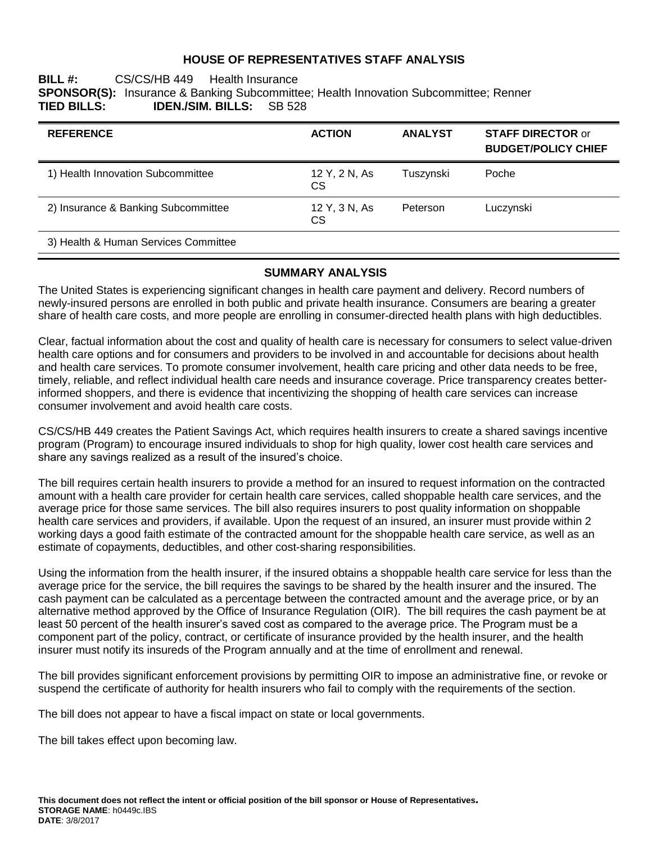#### **HOUSE OF REPRESENTATIVES STAFF ANALYSIS**

#### **BILL #:** CS/CS/HB 449 Health Insurance **SPONSOR(S):** Insurance & Banking Subcommittee; Health Innovation Subcommittee; Renner **TIED BILLS: IDEN./SIM. BILLS:** SB 528

| <b>REFERENCE</b>                     | <b>ACTION</b>              | <b>ANALYST</b> | <b>STAFF DIRECTOR or</b><br><b>BUDGET/POLICY CHIEF</b> |
|--------------------------------------|----------------------------|----------------|--------------------------------------------------------|
| 1) Health Innovation Subcommittee    | 12 Y, 2 N, As<br>CS.       | Tuszynski      | Poche                                                  |
| 2) Insurance & Banking Subcommittee  | 12 Y, 3 N, As<br><b>CS</b> | Peterson       | Luczynski                                              |
| 3) Health & Human Services Committee |                            |                |                                                        |

### **SUMMARY ANALYSIS**

The United States is experiencing significant changes in health care payment and delivery. Record numbers of newly-insured persons are enrolled in both public and private health insurance. Consumers are bearing a greater share of health care costs, and more people are enrolling in consumer-directed health plans with high deductibles.

Clear, factual information about the cost and quality of health care is necessary for consumers to select value-driven health care options and for consumers and providers to be involved in and accountable for decisions about health and health care services. To promote consumer involvement, health care pricing and other data needs to be free, timely, reliable, and reflect individual health care needs and insurance coverage. Price transparency creates betterinformed shoppers, and there is evidence that incentivizing the shopping of health care services can increase consumer involvement and avoid health care costs.

CS/CS/HB 449 creates the Patient Savings Act, which requires health insurers to create a shared savings incentive program (Program) to encourage insured individuals to shop for high quality, lower cost health care services and share any savings realized as a result of the insured's choice.

The bill requires certain health insurers to provide a method for an insured to request information on the contracted amount with a health care provider for certain health care services, called shoppable health care services, and the average price for those same services. The bill also requires insurers to post quality information on shoppable health care services and providers, if available. Upon the request of an insured, an insurer must provide within 2 working days a good faith estimate of the contracted amount for the shoppable health care service, as well as an estimate of copayments, deductibles, and other cost-sharing responsibilities.

Using the information from the health insurer, if the insured obtains a shoppable health care service for less than the average price for the service, the bill requires the savings to be shared by the health insurer and the insured. The cash payment can be calculated as a percentage between the contracted amount and the average price, or by an alternative method approved by the Office of Insurance Regulation (OIR). The bill requires the cash payment be at least 50 percent of the health insurer's saved cost as compared to the average price. The Program must be a component part of the policy, contract, or certificate of insurance provided by the health insurer, and the health insurer must notify its insureds of the Program annually and at the time of enrollment and renewal.

The bill provides significant enforcement provisions by permitting OIR to impose an administrative fine, or revoke or suspend the certificate of authority for health insurers who fail to comply with the requirements of the section.

The bill does not appear to have a fiscal impact on state or local governments.

The bill takes effect upon becoming law.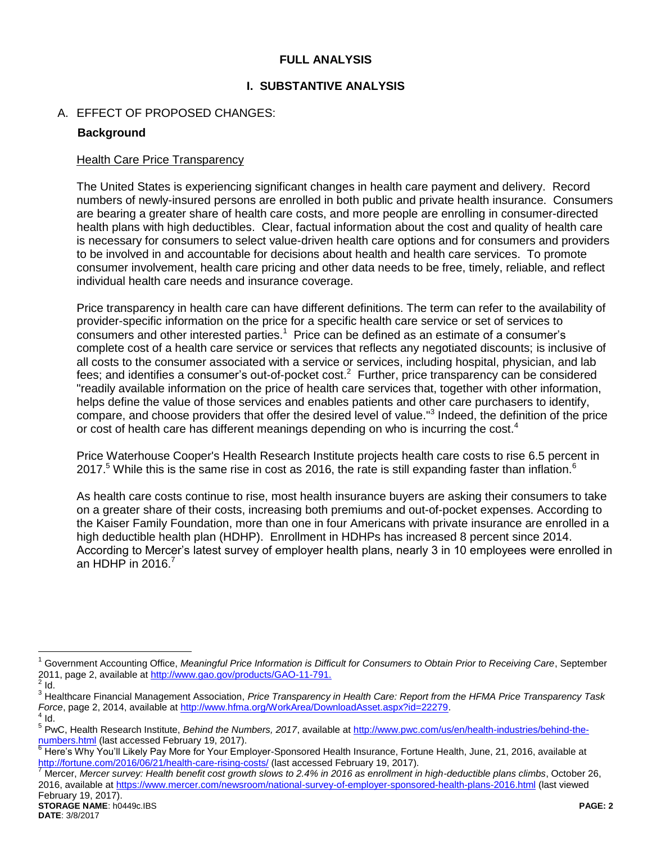### **FULL ANALYSIS**

### **I. SUBSTANTIVE ANALYSIS**

### A. EFFECT OF PROPOSED CHANGES:

### **Background**

#### Health Care Price Transparency

The United States is experiencing significant changes in health care payment and delivery. Record numbers of newly-insured persons are enrolled in both public and private health insurance. Consumers are bearing a greater share of health care costs, and more people are enrolling in consumer-directed health plans with high deductibles. Clear, factual information about the cost and quality of health care is necessary for consumers to select value-driven health care options and for consumers and providers to be involved in and accountable for decisions about health and health care services. To promote consumer involvement, health care pricing and other data needs to be free, timely, reliable, and reflect individual health care needs and insurance coverage.

Price transparency in health care can have different definitions. The term can refer to the availability of provider-specific information on the price for a specific health care service or set of services to consumers and other interested parties.<sup>1</sup> Price can be defined as an estimate of a consumer's complete cost of a health care service or services that reflects any negotiated discounts; is inclusive of all costs to the consumer associated with a service or services, including hospital, physician, and lab fees; and identifies a consumer's out-of-pocket cost.<sup>2</sup> Further, price transparency can be considered "readily available information on the price of health care services that, together with other information, helps define the value of those services and enables patients and other care purchasers to identify, compare, and choose providers that offer the desired level of value."<sup>3</sup> Indeed, the definition of the price or cost of health care has different meanings depending on who is incurring the cost.<sup>4</sup>

Price Waterhouse Cooper's Health Research Institute projects health care costs to rise 6.5 percent in 2017.<sup>5</sup> While this is the same rise in cost as 2016, the rate is still expanding faster than inflation.<sup>6</sup>

As health care costs continue to rise, most health insurance buyers are asking their consumers to take on a greater share of their costs, increasing both premiums and out-of-pocket expenses. According to the Kaiser Family Foundation, more than one in four Americans with private insurance are enrolled in a high deductible health plan (HDHP). Enrollment in HDHPs has increased 8 percent since 2014. According to Mercer's latest survey of employer health plans, nearly 3 in 10 employees were enrolled in an HDHP in  $2016$ .<sup>7</sup>

<sup>&</sup>lt;sup>1</sup> Government Accounting Office, Meaningful Price Information is Difficult for Consumers to Obtain Prior to Receiving Care, September 2011, page 2, available a[t http://www.gao.gov/products/GAO-11-791.](http://www.gao.gov/products/GAO-11-791)  $\frac{2}{3}$  Id.

<sup>3</sup> Healthcare Financial Management Association, *Price Transparency in Health Care: Report from the HFMA Price Transparency Task Force*, page 2, 2014, available at <u>http://www.hfma.org/WorkArea/DownloadAsset.aspx?id=22279</u>.<br><sup>4</sup> Id.

<sup>&</sup>lt;sup>5</sup> PwC, Health Research Institute, *Behind the Numbers, 2017*, available at [http://www.pwc.com/us/en/health-industries/behind-the](http://www.pwc.com/us/en/health-industries/behind-the-numbers.html)[numbers.html](http://www.pwc.com/us/en/health-industries/behind-the-numbers.html) (last accessed February 19, 2017).

<sup>&</sup>lt;sup>6</sup> Here's Why You'll Likely Pay More for Your Employer-Sponsored Health Insurance, Fortune Health, June, 21, 2016, available at <http://fortune.com/2016/06/21/health-care-rising-costs/> (last accessed February 19, 2017).

<sup>7</sup> Mercer, *Mercer survey: Health benefit cost growth slows to 2.4% in 2016 as enrollment in high-deductible plans climbs*, October 26, 2016, available at<https://www.mercer.com/newsroom/national-survey-of-employer-sponsored-health-plans-2016.html> (last viewed February 19, 2017).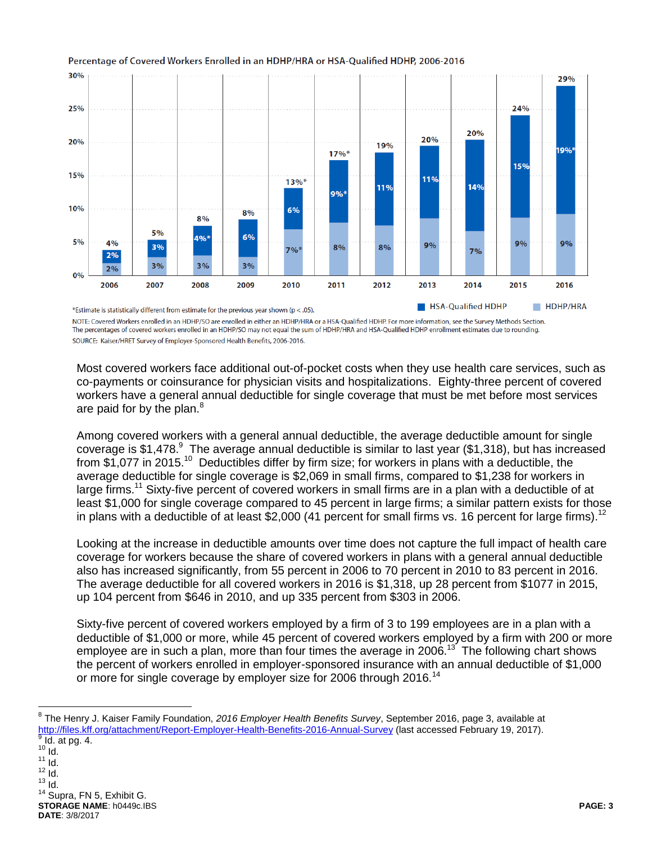

#### Percentage of Covered Workers Enrolled in an HDHP/HRA or HSA-Qualified HDHP, 2006-2016

NOTE: Covered Workers enrolled in an HDHP/SO are enrolled in either an HDHP/HRA or a HSA-Qualified HDHP. For more information, see the Survey Methods Section. The percentages of covered workers enrolled in an HDHP/SO may not equal the sum of HDHP/HRA and HSA-Qualified HDHP enrollment estimates due to rounding. SOURCE: Kaiser/HRET Survey of Employer-Sponsored Health Benefits, 2006-2016.

Most covered workers face additional out-of-pocket costs when they use health care services, such as co-payments or coinsurance for physician visits and hospitalizations. Eighty-three percent of covered workers have a general annual deductible for single coverage that must be met before most services are paid for by the plan.<sup>8</sup>

Among covered workers with a general annual deductible, the average deductible amount for single coverage is \$1,478. $^9\,$  The average annual deductible is similar to last year (\$1,318), but has increased from \$1,077 in 2015.<sup>10</sup> Deductibles differ by firm size; for workers in plans with a deductible, the average deductible for single coverage is \$2,069 in small firms, compared to \$1,238 for workers in large firms.<sup>11</sup> Sixty-five percent of covered workers in small firms are in a plan with a deductible of at least \$1,000 for single coverage compared to 45 percent in large firms; a similar pattern exists for those in plans with a deductible of at least \$2,000 (41 percent for small firms vs. 16 percent for large firms).<sup>12</sup>

Looking at the increase in deductible amounts over time does not capture the full impact of health care coverage for workers because the share of covered workers in plans with a general annual deductible also has increased significantly, from 55 percent in 2006 to 70 percent in 2010 to 83 percent in 2016. The average deductible for all covered workers in 2016 is \$1,318, up 28 percent from \$1077 in 2015, up 104 percent from \$646 in 2010, and up 335 percent from \$303 in 2006.

Sixty-five percent of covered workers employed by a firm of 3 to 199 employees are in a plan with a deductible of \$1,000 or more, while 45 percent of covered workers employed by a firm with 200 or more employee are in such a plan, more than four times the average in 2006.<sup>13</sup> The following chart shows the percent of workers enrolled in employer-sponsored insurance with an annual deductible of \$1,000 or more for single coverage by employer size for 2006 through 2016.<sup>14</sup>

 $10$  Id.  $11$   $\overline{1}$ d.  $12$   $\overline{1}$ d.  $13$  Id. <sup>14</sup> Supra, FN 5, Exhibit G.

 $\overline{a}$ 

**STORAGE NAME**: h0449c.IBS **PAGE: 3 DATE**: 3/8/2017

<sup>8</sup> The Henry J. Kaiser Family Foundation, *2016 Employer Health Benefits Survey*, September 2016, page 3, available at <http://files.kff.org/attachment/Report-Employer-Health-Benefits-2016-Annual-Survey> (last accessed February 19, 2017).  $<sup>9</sup>$  Id. at pg. 4.</sup>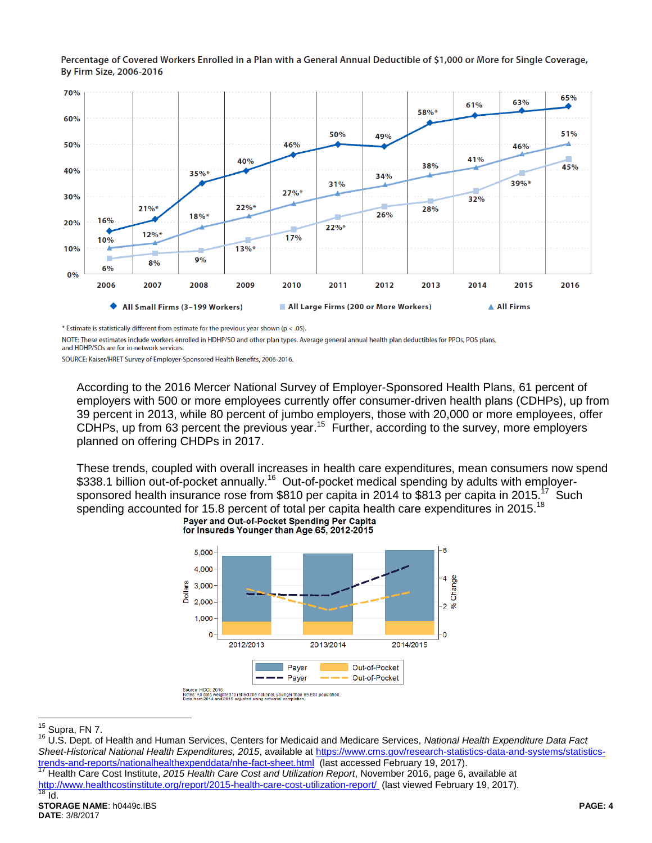Percentage of Covered Workers Enrolled in a Plan with a General Annual Deductible of \$1,000 or More for Single Coverage, By Firm Size, 2006-2016



\* Estimate is statistically different from estimate for the previous year shown ( $p < .05$ ).

NOTE: These estimates include workers enrolled in HDHP/SO and other plan types. Average general annual health plan deductibles for PPOs, POS plans, and HDHP/SOs are for in-network services.

SOURCE: Kaiser/HRET Survey of Employer-Sponsored Health Benefits, 2006-2016.

According to the 2016 Mercer National Survey of Employer-Sponsored Health Plans, 61 percent of employers with 500 or more employees currently offer consumer-driven health plans (CDHPs), up from 39 percent in 2013, while 80 percent of jumbo employers, those with 20,000 or more employees, offer CDHPs, up from 63 percent the previous year.<sup>15</sup> Further, according to the survey, more employers planned on offering CHDPs in 2017.

These trends, coupled with overall increases in health care expenditures, mean consumers now spend \$338.1 billion out-of-pocket annually.<sup>16</sup> Out-of-pocket medical spending by adults with employersponsored health insurance rose from \$810 per capita in 2014 to \$813 per capita in 2015.<sup>17</sup> Such spending accounted for 15.8 percent of total per capita health care expenditures in 2015.<sup>18</sup><br>Paver and Out-of-Pocket Spending Per Capita



for Insureds Younger than Age 65, 2012-2015

 $15$  Supra, FN 7.

<sup>16</sup> U.S. Dept. of Health and Human Services, Centers for Medicaid and Medicare Services, *National Health Expenditure Data Fact Sheet-Historical National Health Expenditures, 2015*, available a[t https://www.cms.gov/research-statistics-data-and-systems/statistics](https://www.cms.gov/research-statistics-data-and-systems/statistics-trends-and-reports/nationalhealthexpenddata/nhe-fact-sheet.html)[trends-and-reports/nationalhealthexpenddata/nhe-fact-sheet.html](https://www.cms.gov/research-statistics-data-and-systems/statistics-trends-and-reports/nationalhealthexpenddata/nhe-fact-sheet.html) (last accessed February 19, 2017).

<sup>17</sup> Health Care Cost Institute, *2015 Health Care Cost and Utilization Report*, November 2016, page 6, available at <http://www.healthcostinstitute.org/report/2015-health-care-cost-utilization-report/>(last viewed February 19, 2017).<br><sup>18</sup> Id  $\overline{Id}$ .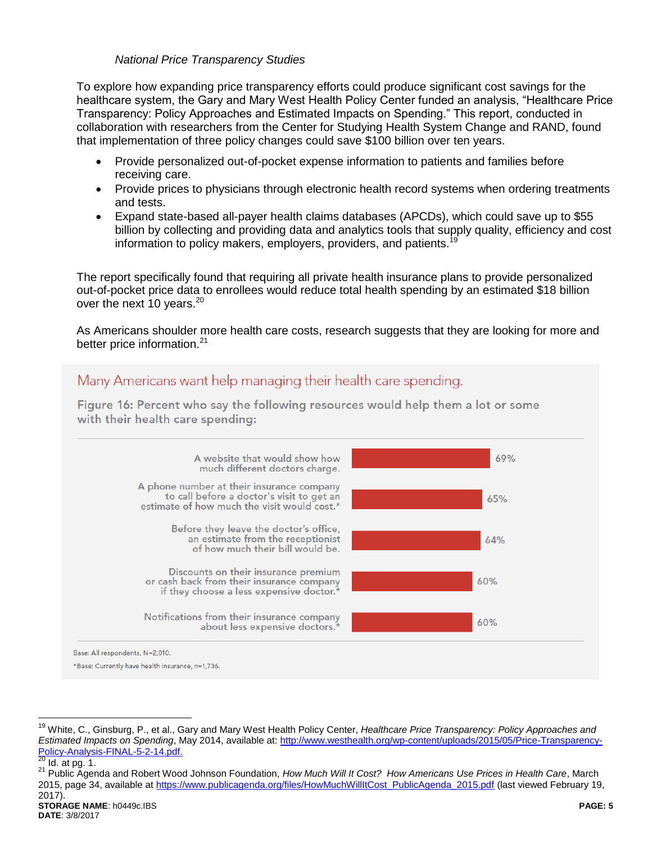#### *National Price Transparency Studies*

To explore how expanding price transparency efforts could produce significant cost savings for the healthcare system, the Gary and Mary West Health Policy Center funded an analysis, "Healthcare Price Transparency: Policy Approaches and Estimated Impacts on Spending." This report, conducted in collaboration with researchers from the Center for Studying Health System Change and RAND, found that implementation of three policy changes could save \$100 billion over ten years.

- Provide personalized out-of-pocket expense information to patients and families before receiving care.
- Provide prices to physicians through electronic health record systems when ordering treatments and tests.
- Expand state-based all-payer health claims databases (APCDs), which could save up to \$55 billion by collecting and providing data and analytics tools that supply quality, efficiency and cost information to policy makers, employers, providers, and patients.<sup>19</sup>

The report specifically found that requiring all private health insurance plans to provide personalized out-of-pocket price data to enrollees would reduce total health spending by an estimated \$18 billion over the next 10 years.<sup>20</sup>

As Americans shoulder more health care costs, research suggests that they are looking for more and better price information.<sup>21</sup>



<sup>19</sup> White, C., Ginsburg, P., et al., Gary and Mary West Health Policy Center, *Healthcare Price Transparency: Policy Approaches and Estimated Impacts on Spending*, May 2014, available at: [http://www.westhealth.org/wp-content/uploads/2015/05/Price-Transparency-](http://www.westhealth.org/wp-content/uploads/2015/05/Price-Transparency-Policy-Analysis-FINAL-5-2-14.pdf)[Policy-Analysis-FINAL-5-2-14.pdf.](http://www.westhealth.org/wp-content/uploads/2015/05/Price-Transparency-Policy-Analysis-FINAL-5-2-14.pdf)<br>20 Id. other 1

 $Id.$  at pg. 1.

<sup>21</sup> Public Agenda and Robert Wood Johnson Foundation, *How Much Will It Cost? How Americans Use Prices in Health Care*, March 2015, page 34, available a[t https://www.publicagenda.org/files/HowMuchWillItCost\\_PublicAgenda\\_2015.pdf](https://www.publicagenda.org/files/HowMuchWillItCost_PublicAgenda_2015.pdf) (last viewed February 19, 2017).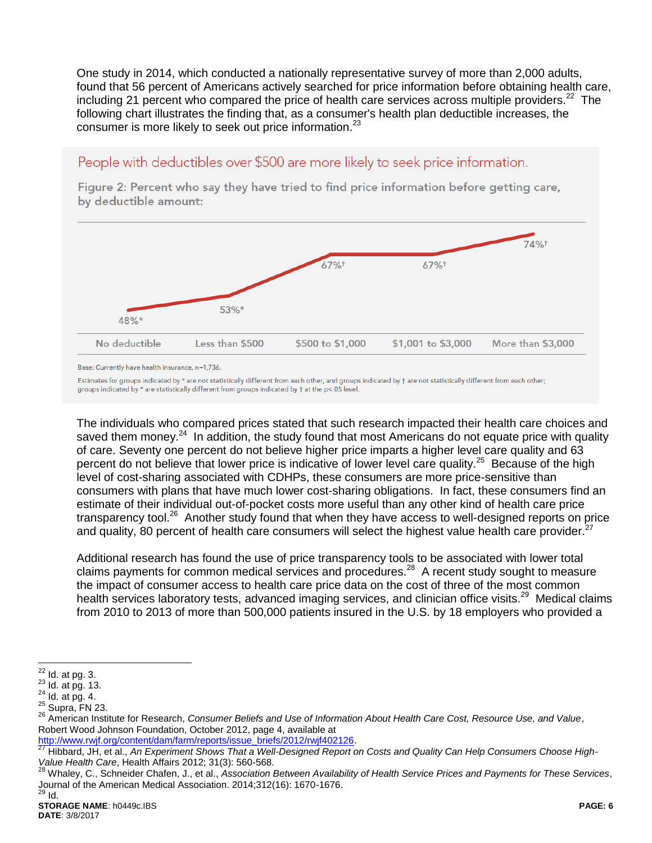One study in 2014, which conducted a nationally representative survey of more than 2,000 adults, found that 56 percent of Americans actively searched for price information before obtaining health care, including 21 percent who compared the price of health care services across multiple providers.<sup>22</sup> The following chart illustrates the finding that, as a consumer's health plan deductible increases, the consumer is more likely to seek out price information.<sup>23</sup>

# People with deductibles over \$500 are more likely to seek price information.

Figure 2: Percent who say they have tried to find price information before getting care, by deductible amount:



Base: Currently have health insurance, n=1,736.

Estimates for groups indicated by \* are not statistically different from each other, and groups indicated by † are not statistically different from each other; groups indicated by \* are statistically different from groups indicated by † at the p<.05 level.

The individuals who compared prices stated that such research impacted their health care choices and saved them money.<sup>24</sup> In addition, the study found that most Americans do not equate price with quality of care. Seventy one percent do not believe higher price imparts a higher level care quality and 63 percent do not believe that lower price is indicative of lower level care quality.<sup>25</sup> Because of the high level of cost-sharing associated with CDHPs, these consumers are more price-sensitive than consumers with plans that have much lower cost-sharing obligations. In fact, these consumers find an estimate of their individual out-of-pocket costs more useful than any other kind of health care price transparency tool.<sup>26</sup> Another study found that when they have access to well-designed reports on price and quality, 80 percent of health care consumers will select the highest value health care provider.<sup>2</sup>

Additional research has found the use of price transparency tools to be associated with lower total claims payments for common medical services and procedures.<sup>28</sup> A recent study sought to measure the impact of consumer access to health care price data on the cost of three of the most common health services laboratory tests, advanced imaging services, and clinician office visits.<sup>29</sup> Medical claims from 2010 to 2013 of more than 500,000 patients insured in the U.S. by 18 employers who provided a

<sup>22</sup>  $Id.$  at pg.  $3.$ 

 $23$  Id. at pg. 13.

 $24$  Id. at pg. 4.

 $25$  Supra, FN 23.

<sup>26</sup> American Institute for Research, *Consumer Beliefs and Use of Information About Health Care Cost, Resource Use, and Value*, Robert Wood Johnson Foundation, October 2012, page 4, available at

[http://www.rwjf.org/content/dam/farm/reports/issue\\_briefs/2012/rwjf402126.](http://www.rwjf.org/content/dam/farm/reports/issue_briefs/2012/rwjf402126)

<sup>27</sup> Hibbard, JH, et al., *An Experiment Shows That a Well-Designed Report on Costs and Quality Can Help Consumers Choose High-Value Health Care*, Health Affairs 2012; 31(3): 560-568.

<sup>28</sup> Whaley, C., Schneider Chafen, J., et al., *Association Between Availability of Health Service Prices and Payments for These Services*, Journal of the American Medical Association. 2014;312(16): 1670-1676.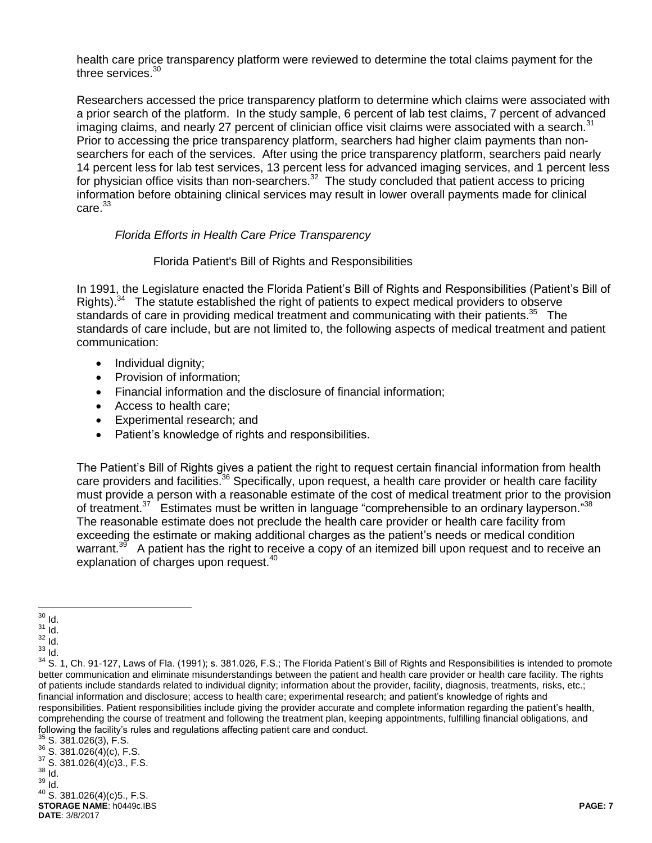health care price transparency platform were reviewed to determine the total claims payment for the three services.<sup>30</sup>

Researchers accessed the price transparency platform to determine which claims were associated with a prior search of the platform. In the study sample, 6 percent of lab test claims, 7 percent of advanced imaging claims, and nearly 27 percent of clinician office visit claims were associated with a search.<sup>31</sup> Prior to accessing the price transparency platform, searchers had higher claim payments than nonsearchers for each of the services. After using the price transparency platform, searchers paid nearly 14 percent less for lab test services, 13 percent less for advanced imaging services, and 1 percent less for physician office visits than non-searchers.<sup>32</sup> The study concluded that patient access to pricing information before obtaining clinical services may result in lower overall payments made for clinical  $carte<sup>33</sup>$ 

#### *Florida Efforts in Health Care Price Transparency*

#### Florida Patient's Bill of Rights and Responsibilities

In 1991, the Legislature enacted the Florida Patient's Bill of Rights and Responsibilities (Patient's Bill of Rights).<sup>34</sup> The statute established the right of patients to expect medical providers to observe standards of care in providing medical treatment and communicating with their patients.<sup>35</sup> The standards of care include, but are not limited to, the following aspects of medical treatment and patient communication:

- Individual dignity;
- Provision of information;
- Financial information and the disclosure of financial information;
- Access to health care;
- Experimental research; and
- Patient's knowledge of rights and responsibilities.

The Patient's Bill of Rights gives a patient the right to request certain financial information from health care providers and facilities.<sup>36</sup> Specifically, upon request, a health care provider or health care facility must provide a person with a reasonable estimate of the cost of medical treatment prior to the provision of treatment.<sup>37</sup> Estimates must be written in language "comprehensible to an ordinary layperson."<sup>38</sup> The reasonable estimate does not preclude the health care provider or health care facility from exceeding the estimate or making additional charges as the patient's needs or medical condition warrant.<sup>39</sup> A patient has the right to receive a copy of an itemized bill upon request and to receive an explanation of charges upon request.<sup>40</sup>

**STORAGE NAME**: h0449c.IBS **PAGE: 7 DATE**: 3/8/2017 <sup>40</sup> S. 381.026(4)(c)5., F.S.

 $\overline{a}$  $30$  Id.

 $31$   $\dot{I}$ d.

 $\frac{32}{33}$  Id.

<sup>33</sup> Id.

<sup>&</sup>lt;sup>34</sup> S. 1. Ch. 91-127, Laws of Fla. (1991); s. 381.026, F.S.; The Florida Patient's Bill of Rights and Responsibilities is intended to promote better communication and eliminate misunderstandings between the patient and health care provider or health care facility. The rights of patients include standards related to individual dignity; information about the provider, facility, diagnosis, treatments, risks, etc.; financial information and disclosure; access to health care; experimental research; and patient's knowledge of rights and responsibilities. Patient responsibilities include giving the provider accurate and complete information regarding the patient's health, comprehending the course of treatment and following the treatment plan, keeping appointments, fulfilling financial obligations, and following the facility's rules and regulations affecting patient care and conduct.

 $35$  S. 381.026(3), F.S.

 $36$  S. 381.026(4)(c), F.S.

 $37$  S. 381.026(4)(c)3., F.S.  $38$   $\overline{1}$ d.

<sup>39</sup> Id.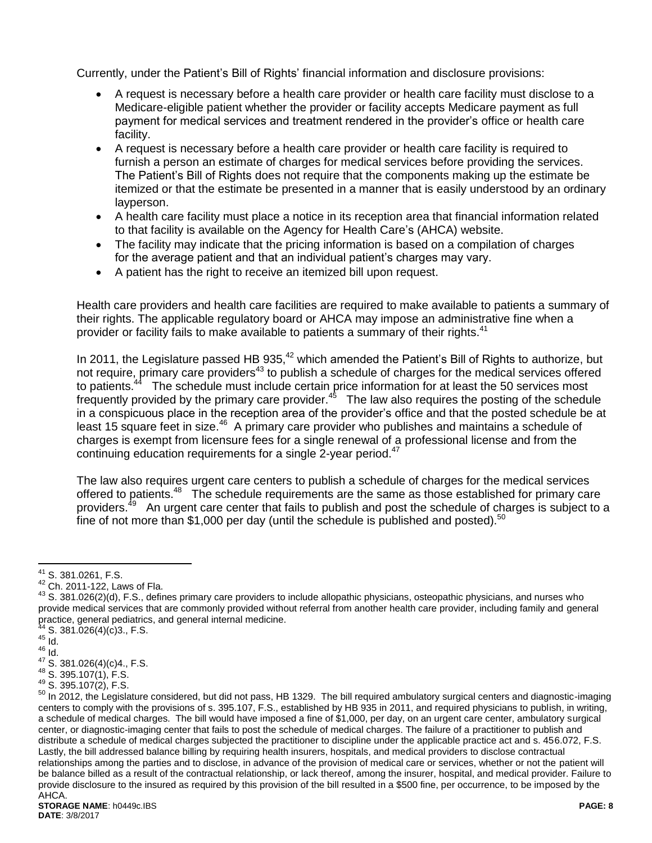Currently, under the Patient's Bill of Rights' financial information and disclosure provisions:

- A request is necessary before a health care provider or health care facility must disclose to a Medicare-eligible patient whether the provider or facility accepts Medicare payment as full payment for medical services and treatment rendered in the provider's office or health care facility.
- A request is necessary before a health care provider or health care facility is required to furnish a person an estimate of charges for medical services before providing the services. The Patient's Bill of Rights does not require that the components making up the estimate be itemized or that the estimate be presented in a manner that is easily understood by an ordinary layperson.
- A health care facility must place a notice in its reception area that financial information related to that facility is available on the Agency for Health Care's (AHCA) website.
- The facility may indicate that the pricing information is based on a compilation of charges for the average patient and that an individual patient's charges may vary.
- A patient has the right to receive an itemized bill upon request.

Health care providers and health care facilities are required to make available to patients a summary of their rights. The applicable regulatory board or AHCA may impose an administrative fine when a provider or facility fails to make available to patients a summary of their rights.<sup>41</sup>

In 2011, the Legislature passed HB 935,<sup>42</sup> which amended the Patient's Bill of Rights to authorize, but not require, primary care providers<sup>43</sup> to publish a schedule of charges for the medical services offered to patients.<sup>44</sup> The schedule must include certain price information for at least the 50 services most frequently provided by the primary care provider.<sup>45</sup> The law also requires the posting of the schedule in a conspicuous place in the reception area of the provider's office and that the posted schedule be at least 15 square feet in size.<sup>46</sup> A primary care provider who publishes and maintains a schedule of charges is exempt from licensure fees for a single renewal of a professional license and from the continuing education requirements for a single 2-year period.<sup>47</sup>

The law also requires urgent care centers to publish a schedule of charges for the medical services offered to patients.<sup>48</sup> The schedule requirements are the same as those established for primary care providers.<sup>49</sup> An urgent care center that fails to publish and post the schedule of charges is subject to a fine of not more than \$1,000 per day (until the schedule is published and posted). $50$ 

 $^{41}$  S. 381.0261, F.S.

<sup>42</sup> Ch. 2011-122, Laws of Fla.

<sup>43</sup> S. 381.026(2)(d), F.S., defines primary care providers to include allopathic physicians, osteopathic physicians, and nurses who provide medical services that are commonly provided without referral from another health care provider, including family and general practice, general pediatrics, and general internal medicine.

 $S. 381.026(4)(c)3., F.S.$ 

 $45$   $\overline{1}$ d.  $46 \overline{10}$ .

 $47$  S. 381.026(4)(c)4., F.S.

<sup>48</sup> S. 395.107(1), F.S.

<sup>49</sup> S. 395.107(2), F.S.

<sup>50</sup> In 2012, the Legislature considered, but did not pass, HB 1329. The bill required ambulatory surgical centers and diagnostic-imaging centers to comply with the provisions of s. 395.107, F.S., established by HB 935 in 2011, and required physicians to publish, in writing, a schedule of medical charges. The bill would have imposed a fine of \$1,000, per day, on an urgent care center, ambulatory surgical center, or diagnostic-imaging center that fails to post the schedule of medical charges. The failure of a practitioner to publish and distribute a schedule of medical charges subjected the practitioner to discipline under the applicable practice act and s. 456.072, F.S. Lastly, the bill addressed balance billing by requiring health insurers, hospitals, and medical providers to disclose contractual relationships among the parties and to disclose, in advance of the provision of medical care or services, whether or not the patient will be balance billed as a result of the contractual relationship, or lack thereof, among the insurer, hospital, and medical provider. Failure to provide disclosure to the insured as required by this provision of the bill resulted in a \$500 fine, per occurrence, to be imposed by the AHCA.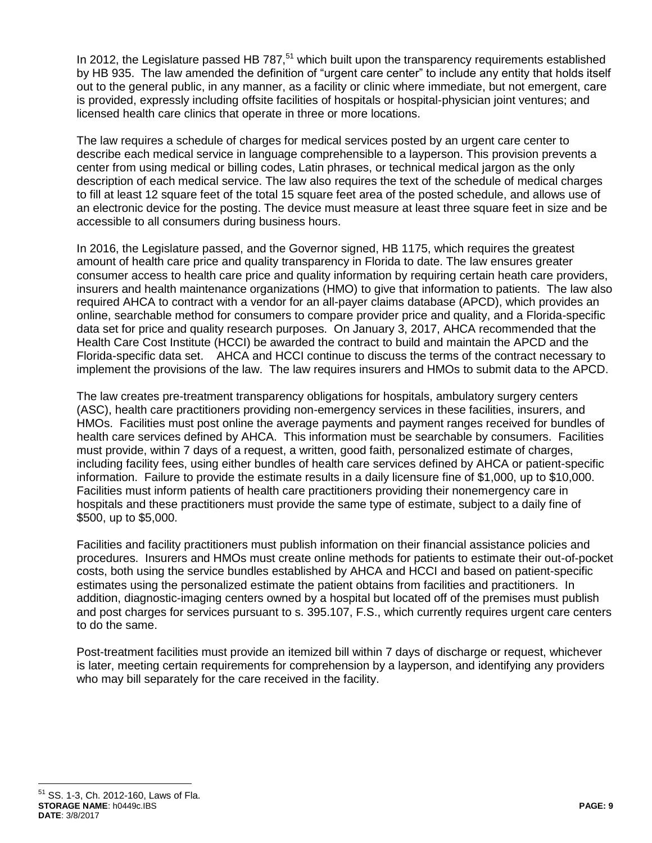In 2012, the Legislature passed HB  $787<sup>51</sup>$  which built upon the transparency requirements established by HB 935. The law amended the definition of "urgent care center" to include any entity that holds itself out to the general public, in any manner, as a facility or clinic where immediate, but not emergent, care is provided, expressly including offsite facilities of hospitals or hospital-physician joint ventures; and licensed health care clinics that operate in three or more locations.

The law requires a schedule of charges for medical services posted by an urgent care center to describe each medical service in language comprehensible to a layperson. This provision prevents a center from using medical or billing codes, Latin phrases, or technical medical jargon as the only description of each medical service. The law also requires the text of the schedule of medical charges to fill at least 12 square feet of the total 15 square feet area of the posted schedule, and allows use of an electronic device for the posting. The device must measure at least three square feet in size and be accessible to all consumers during business hours.

In 2016, the Legislature passed, and the Governor signed, HB 1175, which requires the greatest amount of health care price and quality transparency in Florida to date. The law ensures greater consumer access to health care price and quality information by requiring certain heath care providers, insurers and health maintenance organizations (HMO) to give that information to patients. The law also required AHCA to contract with a vendor for an all-payer claims database (APCD), which provides an online, searchable method for consumers to compare provider price and quality, and a Florida-specific data set for price and quality research purposes. On January 3, 2017, AHCA recommended that the Health Care Cost Institute (HCCI) be awarded the contract to build and maintain the APCD and the Florida-specific data set. AHCA and HCCI continue to discuss the terms of the contract necessary to implement the provisions of the law. The law requires insurers and HMOs to submit data to the APCD.

The law creates pre-treatment transparency obligations for hospitals, ambulatory surgery centers (ASC), health care practitioners providing non-emergency services in these facilities, insurers, and HMOs. Facilities must post online the average payments and payment ranges received for bundles of health care services defined by AHCA. This information must be searchable by consumers. Facilities must provide, within 7 days of a request, a written, good faith, personalized estimate of charges, including facility fees, using either bundles of health care services defined by AHCA or patient-specific information. Failure to provide the estimate results in a daily licensure fine of \$1,000, up to \$10,000. Facilities must inform patients of health care practitioners providing their nonemergency care in hospitals and these practitioners must provide the same type of estimate, subject to a daily fine of \$500, up to \$5,000.

Facilities and facility practitioners must publish information on their financial assistance policies and procedures. Insurers and HMOs must create online methods for patients to estimate their out-of-pocket costs, both using the service bundles established by AHCA and HCCI and based on patient-specific estimates using the personalized estimate the patient obtains from facilities and practitioners. In addition, diagnostic-imaging centers owned by a hospital but located off of the premises must publish and post charges for services pursuant to s. 395.107, F.S., which currently requires urgent care centers to do the same.

Post-treatment facilities must provide an itemized bill within 7 days of discharge or request, whichever is later, meeting certain requirements for comprehension by a layperson, and identifying any providers who may bill separately for the care received in the facility.

**STORAGE NAME**: h0449c.IBS **PAGE: 9 DATE**: 3/8/2017 <sup>51</sup> SS. 1-3, Ch. 2012-160, Laws of Fla.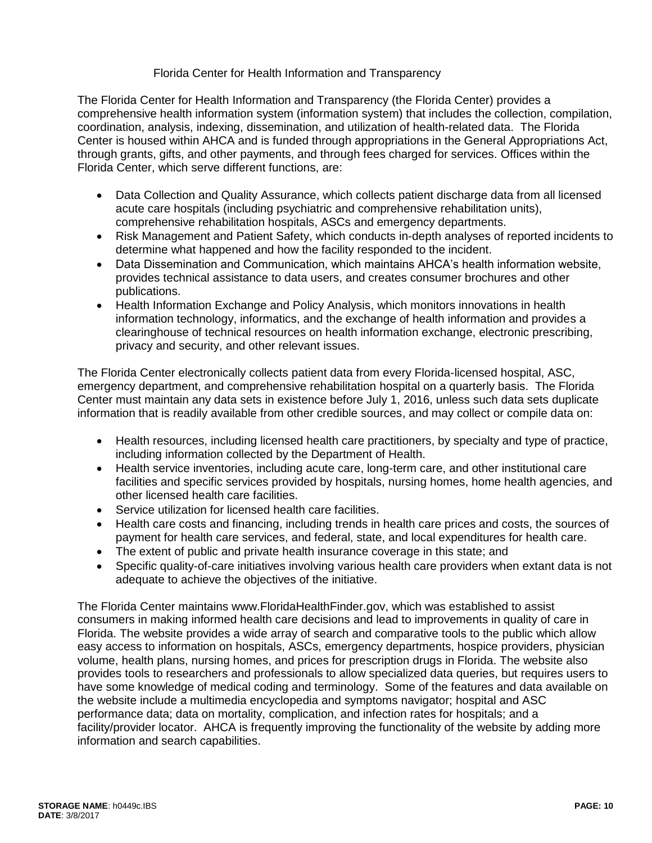### Florida Center for Health Information and Transparency

The Florida Center for Health Information and Transparency (the Florida Center) provides a comprehensive health information system (information system) that includes the collection, compilation, coordination, analysis, indexing, dissemination, and utilization of health-related data. The Florida Center is housed within AHCA and is funded through appropriations in the General Appropriations Act, through grants, gifts, and other payments, and through fees charged for services. Offices within the Florida Center, which serve different functions, are:

- Data Collection and Quality Assurance, which collects patient discharge data from all licensed acute care hospitals (including psychiatric and comprehensive rehabilitation units), comprehensive rehabilitation hospitals, ASCs and emergency departments.
- Risk Management and Patient Safety, which conducts in-depth analyses of reported incidents to determine what happened and how the facility responded to the incident.
- Data Dissemination and Communication, which maintains AHCA's health information website, provides technical assistance to data users, and creates consumer brochures and other publications.
- Health Information Exchange and Policy Analysis, which monitors innovations in health information technology, informatics, and the exchange of health information and provides a clearinghouse of technical resources on health information exchange, electronic prescribing, privacy and security, and other relevant issues.

The Florida Center electronically collects patient data from every Florida-licensed hospital, ASC, emergency department, and comprehensive rehabilitation hospital on a quarterly basis. The Florida Center must maintain any data sets in existence before July 1, 2016, unless such data sets duplicate information that is readily available from other credible sources, and may collect or compile data on:

- Health resources, including licensed health care practitioners, by specialty and type of practice, including information collected by the Department of Health.
- Health service inventories, including acute care, long-term care, and other institutional care facilities and specific services provided by hospitals, nursing homes, home health agencies, and other licensed health care facilities.
- Service utilization for licensed health care facilities.
- Health care costs and financing, including trends in health care prices and costs, the sources of payment for health care services, and federal, state, and local expenditures for health care.
- The extent of public and private health insurance coverage in this state; and
- Specific quality-of-care initiatives involving various health care providers when extant data is not adequate to achieve the objectives of the initiative.

The Florida Center maintains www.FloridaHealthFinder.gov, which was established to assist consumers in making informed health care decisions and lead to improvements in quality of care in Florida. The website provides a wide array of search and comparative tools to the public which allow easy access to information on hospitals, ASCs, emergency departments, hospice providers, physician volume, health plans, nursing homes, and prices for prescription drugs in Florida. The website also provides tools to researchers and professionals to allow specialized data queries, but requires users to have some knowledge of medical coding and terminology. Some of the features and data available on the website include a multimedia encyclopedia and symptoms navigator; hospital and ASC performance data; data on mortality, complication, and infection rates for hospitals; and a facility/provider locator. AHCA is frequently improving the functionality of the website by adding more information and search capabilities.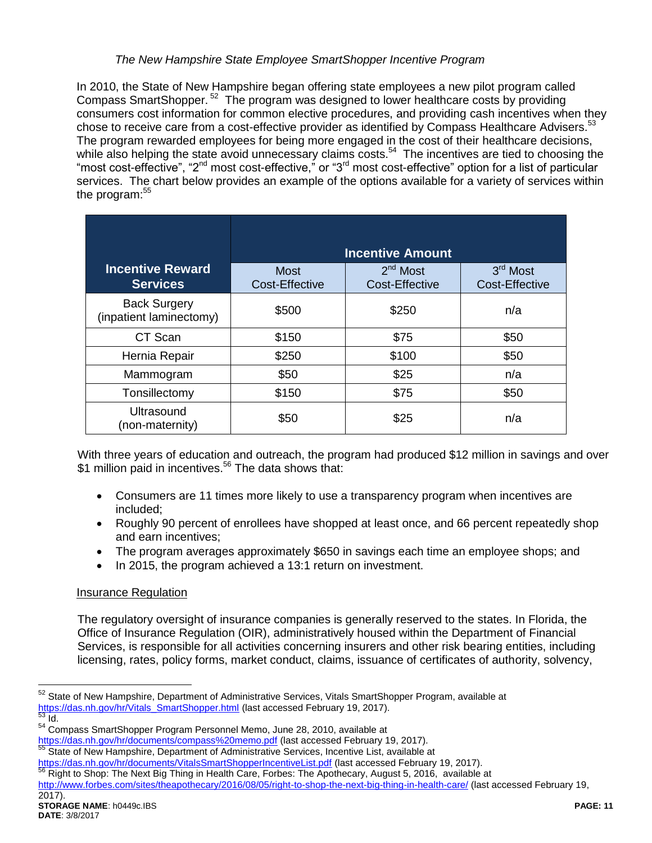### *The New Hampshire State Employee SmartShopper Incentive Program*

In 2010, the State of New Hampshire began offering state employees a new pilot program called Compass SmartShopper.<sup>52</sup> The program was designed to lower healthcare costs by providing consumers cost information for common elective procedures, and providing cash incentives when they chose to receive care from a cost-effective provider as identified by Compass Healthcare Advisers.<sup>53</sup> The program rewarded employees for being more engaged in the cost of their healthcare decisions, while also helping the state avoid unnecessary claims costs.<sup>54</sup> The incentives are tied to choosing the "most cost-effective", "2<sup>nd</sup> most cost-effective," or "3<sup>rd</sup> most cost-effective" option for a list of particular services. The chart below provides an example of the options available for a variety of services within the program: $55$ 

|                                                | <b>Incentive Amount</b>       |                                     |                            |  |
|------------------------------------------------|-------------------------------|-------------------------------------|----------------------------|--|
| <b>Incentive Reward</b><br><b>Services</b>     | <b>Most</b><br>Cost-Effective | $2nd$ Most<br><b>Cost-Effective</b> | 3rd Most<br>Cost-Effective |  |
| <b>Back Surgery</b><br>(inpatient laminectomy) | \$500                         | \$250                               | n/a                        |  |
| CT Scan                                        | \$150                         | \$75                                | \$50                       |  |
| Hernia Repair                                  | \$250                         | \$100                               | \$50                       |  |
| Mammogram                                      | \$50                          | \$25                                | n/a                        |  |
| Tonsillectomy                                  | \$150                         | \$75                                | \$50                       |  |
| <b>Ultrasound</b><br>(non-maternity)           | \$50                          | \$25                                | n/a                        |  |

With three years of education and outreach, the program had produced \$12 million in savings and over \$1 million paid in incentives.<sup>56</sup> The data shows that:

- Consumers are 11 times more likely to use a transparency program when incentives are included;
- Roughly 90 percent of enrollees have shopped at least once, and 66 percent repeatedly shop and earn incentives;
- The program averages approximately \$650 in savings each time an employee shops; and
- In 2015, the program achieved a 13:1 return on investment.

### Insurance Regulation

The regulatory oversight of insurance companies is generally reserved to the states. In Florida, the Office of Insurance Regulation (OIR), administratively housed within the Department of Financial Services, is responsible for all activities concerning insurers and other risk bearing entities, including licensing, rates, policy forms, market conduct, claims, issuance of certificates of authority, solvency,

<sup>56</sup> Right to Shop: The Next Big Thing in Health Care, Forbes: The Apothecary, August 5, 2016, available at

<sup>&</sup>lt;sup>52</sup> State of New Hampshire, Department of Administrative Services, Vitals SmartShopper Program, available at [https://das.nh.gov/hr/Vitals\\_SmartShopper.html](https://das.nh.gov/hr/Vitals_SmartShopper.html) (last accessed February 19, 2017).  $\overline{53}$  Id.

<sup>&</sup>lt;sup>54</sup> Compass SmartShopper Program Personnel Memo, June 28, 2010, available at <https://das.nh.gov/hr/documents/compass%20memo.pdf> (last accessed February 19, 2017).

<sup>&</sup>lt;sup>55</sup> State of New Hampshire, Department of Administrative Services, Incentive List, available at

<https://das.nh.gov/hr/documents/VitalsSmartShopperIncentiveList.pdf> (last accessed February 19, 2017).

<http://www.forbes.com/sites/theapothecary/2016/08/05/right-to-shop-the-next-big-thing-in-health-care/> (last accessed February 19,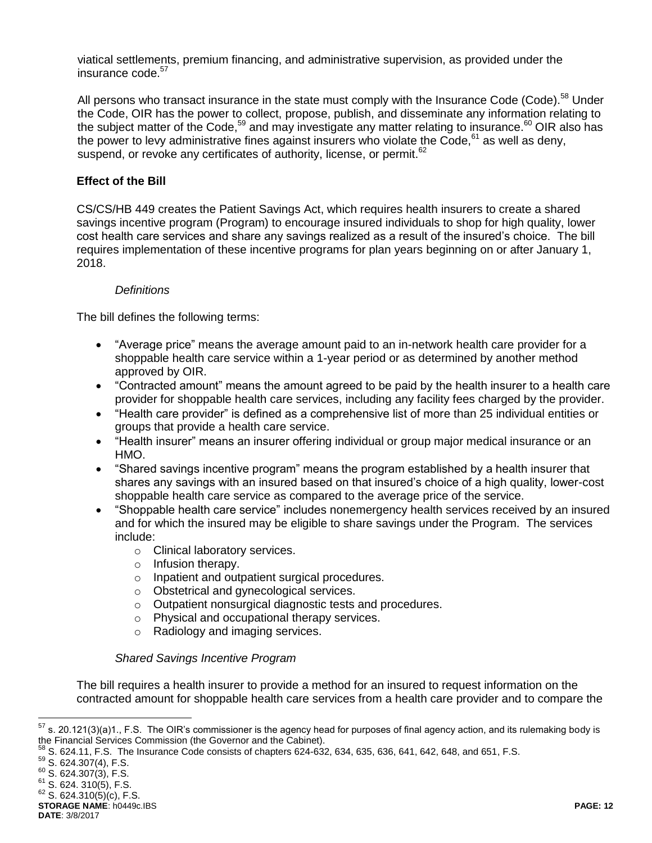viatical settlements, premium financing, and administrative supervision, as provided under the insurance code. 57

All persons who transact insurance in the state must comply with the Insurance Code (Code).<sup>58</sup> Under the Code, OIR has the power to collect, propose, publish, and disseminate any information relating to the subject matter of the Code,<sup>59</sup> and may investigate any matter relating to insurance.<sup>60</sup> OIR also has the power to levy administrative fines against insurers who violate the Code,  $61$  as well as deny, suspend, or revoke any certificates of authority, license, or permit.<sup>62</sup>

### **Effect of the Bill**

CS/CS/HB 449 creates the Patient Savings Act, which requires health insurers to create a shared savings incentive program (Program) to encourage insured individuals to shop for high quality, lower cost health care services and share any savings realized as a result of the insured's choice. The bill requires implementation of these incentive programs for plan years beginning on or after January 1, 2018.

#### *Definitions*

The bill defines the following terms:

- "Average price" means the average amount paid to an in-network health care provider for a shoppable health care service within a 1-year period or as determined by another method approved by OIR.
- "Contracted amount" means the amount agreed to be paid by the health insurer to a health care provider for shoppable health care services, including any facility fees charged by the provider.
- "Health care provider" is defined as a comprehensive list of more than 25 individual entities or groups that provide a health care service.
- "Health insurer" means an insurer offering individual or group major medical insurance or an HMO.
- "Shared savings incentive program" means the program established by a health insurer that shares any savings with an insured based on that insured's choice of a high quality, lower-cost shoppable health care service as compared to the average price of the service.
- "Shoppable health care service" includes nonemergency health services received by an insured and for which the insured may be eligible to share savings under the Program. The services include:
	- o Clinical laboratory services.
	- o Infusion therapy.
	- o Inpatient and outpatient surgical procedures.
	- o Obstetrical and gynecological services.
	- o Outpatient nonsurgical diagnostic tests and procedures.
	- o Physical and occupational therapy services.
	- o Radiology and imaging services.

#### *Shared Savings Incentive Program*

The bill requires a health insurer to provide a method for an insured to request information on the contracted amount for shoppable health care services from a health care provider and to compare the

<sup>57</sup> s. 20.121(3)(a)1., F.S. The OIR's commissioner is the agency head for purposes of final agency action, and its rulemaking body is the Financial Services Commission (the Governor and the Cabinet).

 $^{58}$  S. 624.11, F.S. The Insurance Code consists of chapters 624-632, 634, 635, 636, 641, 642, 648, and 651, F.S.

<sup>59</sup> S. 624.307(4), F.S.

 $60$  S. 624.307(3), F.S.

 $61$  S. 624. 310(5), F.S.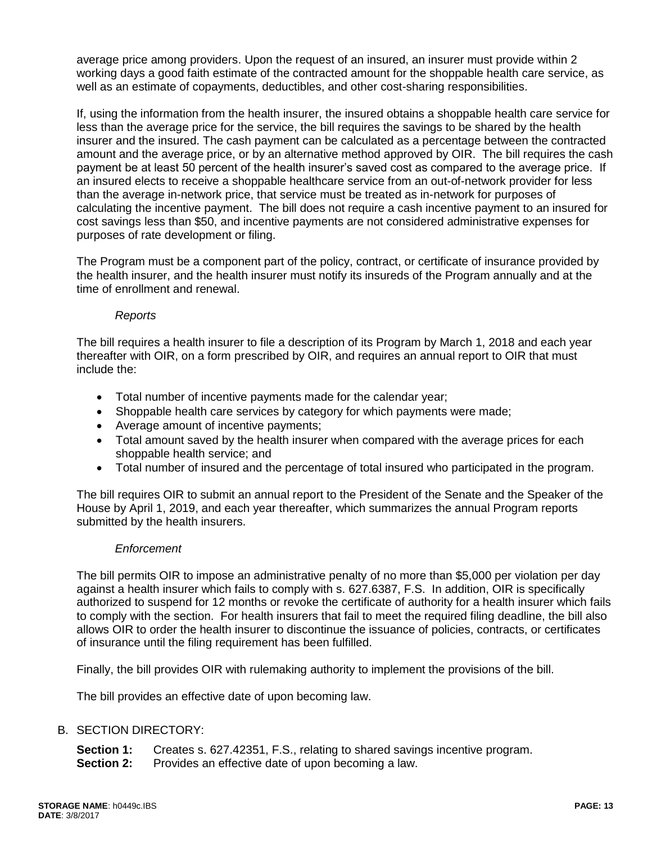average price among providers. Upon the request of an insured, an insurer must provide within 2 working days a good faith estimate of the contracted amount for the shoppable health care service, as well as an estimate of copayments, deductibles, and other cost-sharing responsibilities.

If, using the information from the health insurer, the insured obtains a shoppable health care service for less than the average price for the service, the bill requires the savings to be shared by the health insurer and the insured. The cash payment can be calculated as a percentage between the contracted amount and the average price, or by an alternative method approved by OIR. The bill requires the cash payment be at least 50 percent of the health insurer's saved cost as compared to the average price. If an insured elects to receive a shoppable healthcare service from an out-of-network provider for less than the average in-network price, that service must be treated as in-network for purposes of calculating the incentive payment. The bill does not require a cash incentive payment to an insured for cost savings less than \$50, and incentive payments are not considered administrative expenses for purposes of rate development or filing.

The Program must be a component part of the policy, contract, or certificate of insurance provided by the health insurer, and the health insurer must notify its insureds of the Program annually and at the time of enrollment and renewal.

### *Reports*

The bill requires a health insurer to file a description of its Program by March 1, 2018 and each year thereafter with OIR, on a form prescribed by OIR, and requires an annual report to OIR that must include the:

- Total number of incentive payments made for the calendar year;
- Shoppable health care services by category for which payments were made;
- Average amount of incentive payments;
- Total amount saved by the health insurer when compared with the average prices for each shoppable health service; and
- Total number of insured and the percentage of total insured who participated in the program.

The bill requires OIR to submit an annual report to the President of the Senate and the Speaker of the House by April 1, 2019, and each year thereafter, which summarizes the annual Program reports submitted by the health insurers.

### *Enforcement*

The bill permits OIR to impose an administrative penalty of no more than \$5,000 per violation per day against a health insurer which fails to comply with s. 627.6387, F.S. In addition, OIR is specifically authorized to suspend for 12 months or revoke the certificate of authority for a health insurer which fails to comply with the section. For health insurers that fail to meet the required filing deadline, the bill also allows OIR to order the health insurer to discontinue the issuance of policies, contracts, or certificates of insurance until the filing requirement has been fulfilled.

Finally, the bill provides OIR with rulemaking authority to implement the provisions of the bill.

The bill provides an effective date of upon becoming law.

### B. SECTION DIRECTORY:

- **Section 1:** Creates s. 627.42351, F.S., relating to shared savings incentive program.
- **Section 2:** Provides an effective date of upon becoming a law.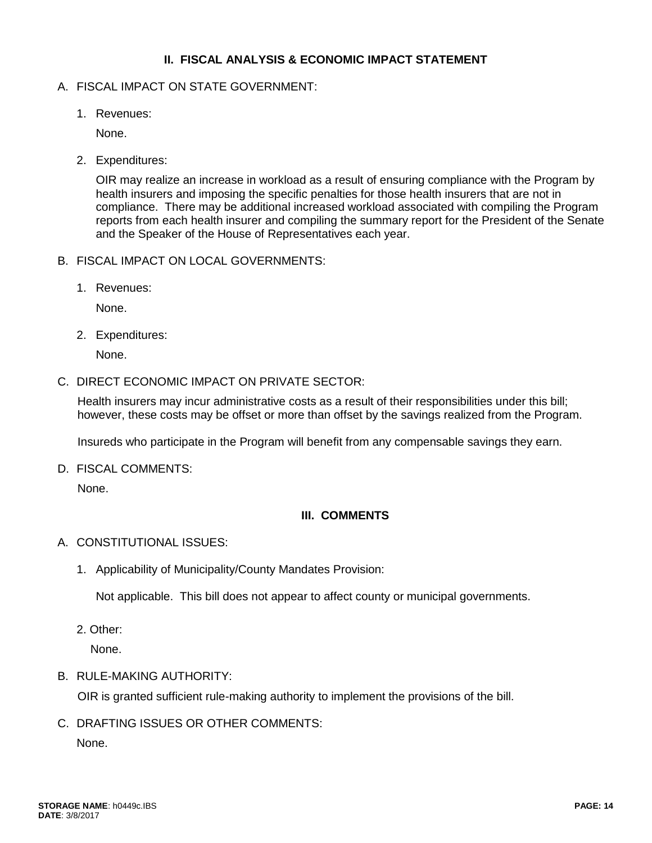### **II. FISCAL ANALYSIS & ECONOMIC IMPACT STATEMENT**

#### A. FISCAL IMPACT ON STATE GOVERNMENT:

1. Revenues:

None.

2. Expenditures:

OIR may realize an increase in workload as a result of ensuring compliance with the Program by health insurers and imposing the specific penalties for those health insurers that are not in compliance. There may be additional increased workload associated with compiling the Program reports from each health insurer and compiling the summary report for the President of the Senate and the Speaker of the House of Representatives each year.

- B. FISCAL IMPACT ON LOCAL GOVERNMENTS:
	- 1. Revenues:

None.

2. Expenditures:

None.

C. DIRECT ECONOMIC IMPACT ON PRIVATE SECTOR:

Health insurers may incur administrative costs as a result of their responsibilities under this bill; however, these costs may be offset or more than offset by the savings realized from the Program.

Insureds who participate in the Program will benefit from any compensable savings they earn.

D. FISCAL COMMENTS:

None.

### **III. COMMENTS**

#### A. CONSTITUTIONAL ISSUES:

1. Applicability of Municipality/County Mandates Provision:

Not applicable. This bill does not appear to affect county or municipal governments.

2. Other:

None.

B. RULE-MAKING AUTHORITY:

OIR is granted sufficient rule-making authority to implement the provisions of the bill.

C. DRAFTING ISSUES OR OTHER COMMENTS:

None.